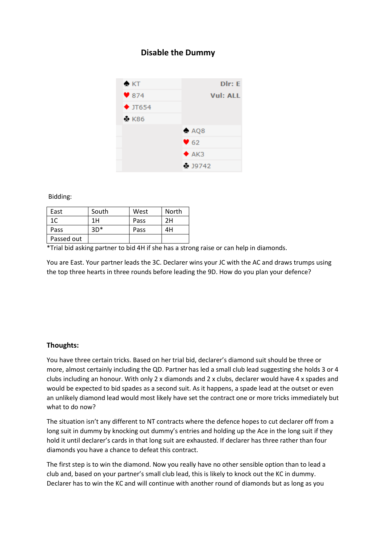## **Disable the Dummy**



Bidding:

| East       | South | West | North |
|------------|-------|------|-------|
| 1C         | 1 H   | Pass | 2Η    |
| Pass       | $3D*$ | Pass | 4Н    |
| Passed out |       |      |       |

\*Trial bid asking partner to bid 4H if she has a strong raise or can help in diamonds.

You are East. Your partner leads the 3C. Declarer wins your JC with the AC and draws trumps using the top three hearts in three rounds before leading the 9D. How do you plan your defence?

## **Thoughts:**

You have three certain tricks. Based on her trial bid, declarer's diamond suit should be three or more, almost certainly including the QD. Partner has led a small club lead suggesting she holds 3 or 4 clubs including an honour. With only 2 x diamonds and 2 x clubs, declarer would have 4 x spades and would be expected to bid spades as a second suit. As it happens, a spade lead at the outset or even an unlikely diamond lead would most likely have set the contract one or more tricks immediately but what to do now?

The situation isn't any different to NT contracts where the defence hopes to cut declarer off from a long suit in dummy by knocking out dummy's entries and holding up the Ace in the long suit if they hold it until declarer's cards in that long suit are exhausted. If declarer has three rather than four diamonds you have a chance to defeat this contract.

The first step is to win the diamond. Now you really have no other sensible option than to lead a club and, based on your partner's small club lead, this is likely to knock out the KC in dummy. Declarer has to win the KC and will continue with another round of diamonds but as long as you